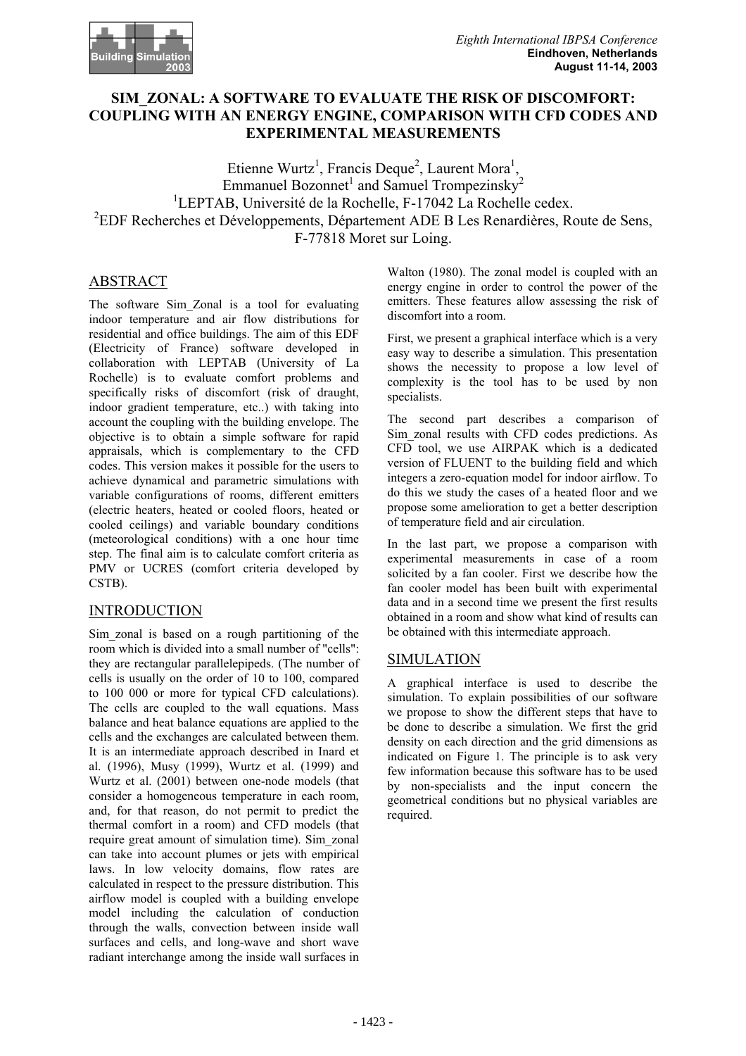# **SIM\_ZONAL: A SOFTWARE TO EVALUATE THE RISK OF DISCOMFORT: COUPLING WITH AN ENERGY ENGINE, COMPARISON WITH CFD CODES AND EXPERIMENTAL MEASUREMENTS**

Etienne Wurtz<sup>1</sup>, Francis Deque<sup>2</sup>, Laurent Mora<sup>1</sup>, Emmanuel Bozonnet<sup>1</sup> and Samuel Trompezinsky<sup>2</sup><br><sup>1</sup>  ${}^{1}$ LEPTAB, Université de la Rochelle, F-17042 La Rochelle cedex. <sup>2</sup>EDF Recherches et Développements, Département ADE B Les Renardières, Route de Sens, F-77818 Moret sur Loing.

# ABSTRACT

The software Sim\_Zonal is a tool for evaluating indoor temperature and air flow distributions for residential and office buildings. The aim of this EDF (Electricity of France) software developed in collaboration with LEPTAB (University of La Rochelle) is to evaluate comfort problems and specifically risks of discomfort (risk of draught, indoor gradient temperature, etc..) with taking into account the coupling with the building envelope. The objective is to obtain a simple software for rapid appraisals, which is complementary to the CFD codes. This version makes it possible for the users to achieve dynamical and parametric simulations with variable configurations of rooms, different emitters (electric heaters, heated or cooled floors, heated or cooled ceilings) and variable boundary conditions (meteorological conditions) with a one hour time step. The final aim is to calculate comfort criteria as PMV or UCRES (comfort criteria developed by CSTB).

### INTRODUCTION

Sim\_zonal is based on a rough partitioning of the room which is divided into a small number of "cells": they are rectangular parallelepipeds. (The number of cells is usually on the order of 10 to 100, compared to 100 000 or more for typical CFD calculations). The cells are coupled to the wall equations. Mass balance and heat balance equations are applied to the cells and the exchanges are calculated between them. It is an intermediate approach described in Inard et al. (1996), Musy (1999), Wurtz et al. (1999) and Wurtz et al. (2001) between one-node models (that consider a homogeneous temperature in each room, and, for that reason, do not permit to predict the thermal comfort in a room) and CFD models (that require great amount of simulation time). Sim\_zonal can take into account plumes or jets with empirical laws. In low velocity domains, flow rates are calculated in respect to the pressure distribution. This airflow model is coupled with a building envelope model including the calculation of conduction through the walls, convection between inside wall surfaces and cells, and long-wave and short wave radiant interchange among the inside wall surfaces in

Walton (1980). The zonal model is coupled with an energy engine in order to control the power of the emitters. These features allow assessing the risk of discomfort into a room.

First, we present a graphical interface which is a very easy way to describe a simulation. This presentation shows the necessity to propose a low level of complexity is the tool has to be used by non specialists.

The second part describes a comparison of Sim zonal results with CFD codes predictions. As CFD tool, we use AIRPAK which is a dedicated version of FLUENT to the building field and which integers a zero-equation model for indoor airflow. To do this we study the cases of a heated floor and we propose some amelioration to get a better description of temperature field and air circulation.

In the last part, we propose a comparison with experimental measurements in case of a room solicited by a fan cooler. First we describe how the fan cooler model has been built with experimental data and in a second time we present the first results obtained in a room and show what kind of results can be obtained with this intermediate approach.

### SIMULATION

A graphical interface is used to describe the simulation. To explain possibilities of our software we propose to show the different steps that have to be done to describe a simulation. We first the grid density on each direction and the grid dimensions as indicated on Figure 1. The principle is to ask very few information because this software has to be used by non-specialists and the input concern the geometrical conditions but no physical variables are required.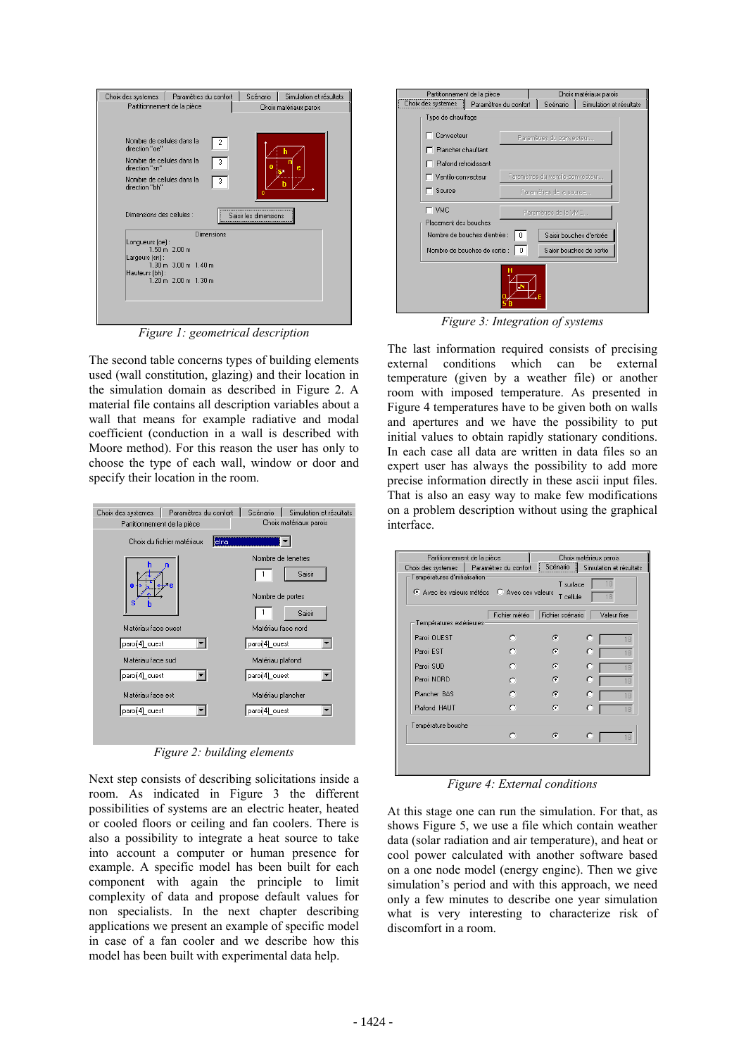| Choix des systemes   Paramètres du confort         | Scénario<br>Simulation et résultats |
|----------------------------------------------------|-------------------------------------|
| Partitionnement de la pièce                        | Choix matériaux parois              |
|                                                    |                                     |
|                                                    |                                     |
|                                                    |                                     |
|                                                    |                                     |
| Nombre de cellules dans la<br>2                    |                                     |
| direction "oe"                                     |                                     |
| Nombre de cellules dans la<br>3                    |                                     |
| direction "sn"                                     | ē                                   |
|                                                    |                                     |
| Nombre de cellules dans la<br>3                    |                                     |
| direction "bh"                                     |                                     |
|                                                    |                                     |
|                                                    |                                     |
| Dimensions des cellules :                          | Saisir les dimensions               |
|                                                    |                                     |
|                                                    |                                     |
| Dimensions                                         |                                     |
| Lonqueurs (oe):                                    |                                     |
| $1.50 m$ $2.00 m$                                  |                                     |
| Largeurs [sn] :                                    |                                     |
| $1.30 \text{ m}$ 3.00 m $1.40 \text{ m}$           |                                     |
| Hauteurs (bh):                                     |                                     |
| $1.20 \text{ m}$ $2.00 \text{ m}$ $1.30 \text{ m}$ |                                     |
|                                                    |                                     |
|                                                    |                                     |
|                                                    |                                     |
|                                                    |                                     |
|                                                    |                                     |
|                                                    |                                     |

*Figure 1: geometrical description* 

The second table concerns types of building elements used (wall constitution, glazing) and their location in the simulation domain as described in Figure 2. A material file contains all description variables about a wall that means for example radiative and modal coefficient (conduction in a wall is described with Moore method). For this reason the user has only to choose the type of each wall, window or door and specify their location in the room.

| Paramètres du confort<br>Choix des systemes<br>Partitionnement de la pièce | Scénario<br>Simulation et résultats<br>Choix matériaux parois |  |  |  |
|----------------------------------------------------------------------------|---------------------------------------------------------------|--|--|--|
| Choix du fichier matériaux<br>etna                                         |                                                               |  |  |  |
| 0<br>s                                                                     | Nombre de fenetres<br>Saisir<br>Nombre de portes<br>Saisir    |  |  |  |
| Matériau face ouest                                                        | Matériau face nord                                            |  |  |  |
| paroi[4]_ouest                                                             | paroi[4]_ouest                                                |  |  |  |
| Matériau face sud                                                          | Matériau plafond                                              |  |  |  |
| paroi[4]_ouest                                                             | paroi[4]_ouest                                                |  |  |  |
| Matériau face est                                                          | Matériau plancher                                             |  |  |  |
| paroi[4]_ouest                                                             | paroi[4]_ouest                                                |  |  |  |
| г٠                                                                         | 2.1.11                                                        |  |  |  |

*Figure 2: building elements* 

Next step consists of describing solicitations inside a room. As indicated in Figure 3 the different possibilities of systems are an electric heater, heated or cooled floors or ceiling and fan coolers. There is also a possibility to integrate a heat source to take into account a computer or human presence for example. A specific model has been built for each component with again the principle to limit complexity of data and propose default values for non specialists. In the next chapter describing applications we present an example of specific model in case of a fan cooler and we describe how this model has been built with experimental data help.

| Partitionnement de la pièce   |                       |                                  | Choix matériaux parois   |
|-------------------------------|-----------------------|----------------------------------|--------------------------|
| Choix des systemes            | Paramètres du confort | Scénario                         | Simulation et résultats  |
| Type de chauffage             |                       |                                  |                          |
| Convecteur                    |                       | Paramètres du convecteur         |                          |
| Plancher chauffant            |                       |                                  |                          |
| Plafond refroidissant         |                       |                                  |                          |
| □ Ventilo-convecteur          |                       | Paramètres du ventilo-convecteur |                          |
| Source                        |                       | Paramètres de la source          |                          |
| г ∨мс                         |                       | Paramètres de la VMC             |                          |
| Placement des bouches         |                       |                                  |                          |
| Nombre de bouches d'entrée :  | 0                     |                                  | Saisir bouches d'entrée  |
| Nombre de bouches de sortie : | n                     |                                  | Saisir bouches de sortie |
|                               | "N                    |                                  |                          |

*Figure 3: Integration of systems* 

The last information required consists of precising external conditions which can be external temperature (given by a weather file) or another room with imposed temperature. As presented in Figure 4 temperatures have to be given both on walls and apertures and we have the possibility to put initial values to obtain rapidly stationary conditions. In each case all data are written in data files so an expert user has always the possibility to add more precise information directly in these ascii input files. That is also an easy way to make few modifications on a problem description without using the graphical interface.

| Partitionnement de la pièce<br>Choix des systemes                                                                   | Paramètres du confort | Scénario         | Choix matériaux parois<br>Simulation et résultats |  |
|---------------------------------------------------------------------------------------------------------------------|-----------------------|------------------|---------------------------------------------------|--|
| Températures d'initialisation<br>18<br>T surface<br>C Avec les valeurs météos C Avec ces valeurs<br>T cellule<br>18 |                       |                  |                                                   |  |
| Températures extérieures :                                                                                          | Fichier météo         | Fichier scénario | Valeur fixe                                       |  |
| Paroi OUEST                                                                                                         | O                     | ā                | 18                                                |  |
| Paroi EST                                                                                                           |                       | G.               | O<br>18                                           |  |
| Paroi SLID                                                                                                          | O                     | G                | о<br>18                                           |  |
| Paroi NORD                                                                                                          |                       | ā                | O<br>18                                           |  |
| Plancher BAS                                                                                                        | O                     | G                | O<br>18                                           |  |
| Plafond HAUT                                                                                                        | o                     | G                | O<br>18                                           |  |
| Température bouche<br>O<br>G<br>о<br>18                                                                             |                       |                  |                                                   |  |
|                                                                                                                     |                       |                  |                                                   |  |

*Figure 4: External conditions* 

At this stage one can run the simulation. For that, as shows Figure 5, we use a file which contain weather data (solar radiation and air temperature), and heat or cool power calculated with another software based on a one node model (energy engine). Then we give simulation's period and with this approach, we need only a few minutes to describe one year simulation what is very interesting to characterize risk of discomfort in a room.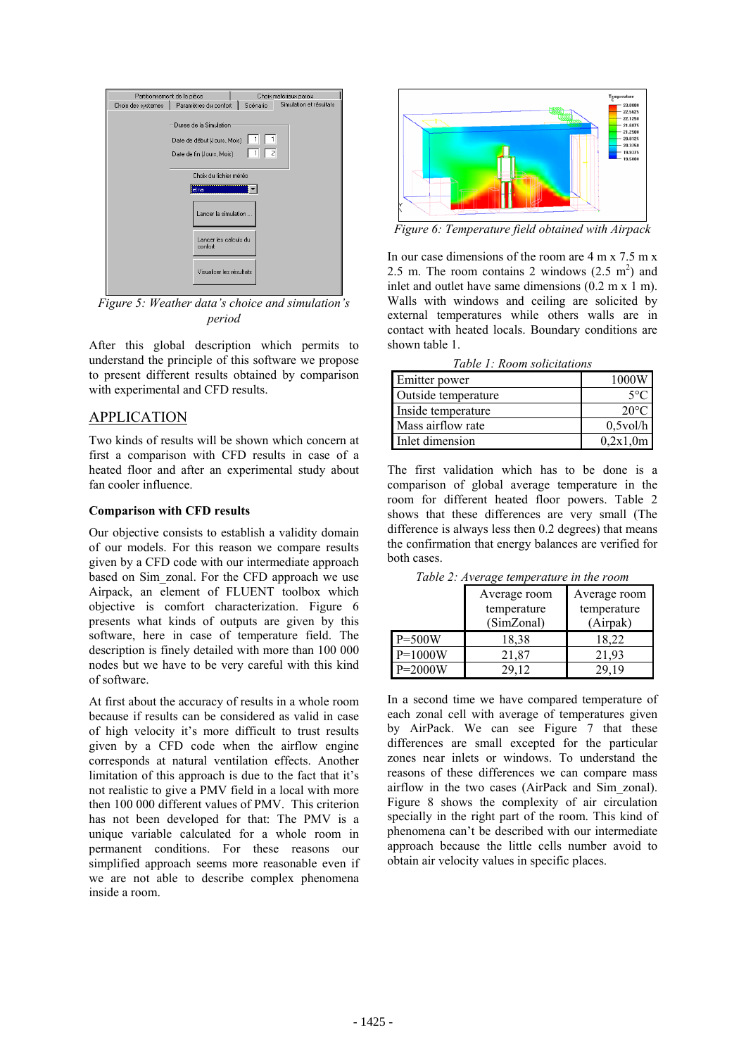| Partitionnement de la pièce |                                                                                    |                | Choix matériaux parois  |  |
|-----------------------------|------------------------------------------------------------------------------------|----------------|-------------------------|--|
| Choix des systemes          | Paramètres du confort                                                              | Scénario       | Simulation et résultats |  |
|                             | Duree de la Simulation<br>Date de début (Jours, Mois)<br>Date de fin (Jours, Mois) | $\overline{2}$ |                         |  |
|                             | Choix du fichier météo                                                             |                |                         |  |
|                             | <b>l</b> etna                                                                      |                |                         |  |
|                             | Lancer la simulation                                                               |                |                         |  |
|                             | Lancer les calculs du<br>confort                                                   |                |                         |  |
|                             | Visualiser les résultats                                                           |                |                         |  |

*Figure 5: Weather data's choice and simulation's period* 

After this global description which permits to understand the principle of this software we propose to present different results obtained by comparison with experimental and CFD results.

### APPLICATION

Two kinds of results will be shown which concern at first a comparison with CFD results in case of a heated floor and after an experimental study about fan cooler influence.

#### **Comparison with CFD results**

Our objective consists to establish a validity domain of our models. For this reason we compare results given by a CFD code with our intermediate approach based on Sim\_zonal. For the CFD approach we use Airpack, an element of FLUENT toolbox which objective is comfort characterization. Figure 6 presents what kinds of outputs are given by this software, here in case of temperature field. The description is finely detailed with more than 100 000 nodes but we have to be very careful with this kind of software.

At first about the accuracy of results in a whole room because if results can be considered as valid in case of high velocity it's more difficult to trust results given by a CFD code when the airflow engine corresponds at natural ventilation effects. Another limitation of this approach is due to the fact that it's not realistic to give a PMV field in a local with more then 100 000 different values of PMV. This criterion has not been developed for that: The PMV is a unique variable calculated for a whole room in permanent conditions. For these reasons our simplified approach seems more reasonable even if we are not able to describe complex phenomena inside a room.



*Figure 6: Temperature field obtained with Airpack* 

In our case dimensions of the room are  $4 \text{ m x } 7.5 \text{ m x}$ 2.5 m. The room contains 2 windows  $(2.5 \text{ m}^2)$  and inlet and outlet have same dimensions  $(0.2 \text{ m x } 1 \text{ m})$ . Walls with windows and ceiling are solicited by external temperatures while others walls are in contact with heated locals. Boundary conditions are shown table 1.

*Table 1: Room solicitations* 

| Emitter power       | 1000W          |
|---------------------|----------------|
| Outside temperature | $5^{\circ}C$   |
| Inside temperature  | $20^{\circ}$ C |
| Mass airflow rate   | $0,5$ vol/h    |
| Inlet dimension     | 0,2x1,0m       |

The first validation which has to be done is a comparison of global average temperature in the room for different heated floor powers. Table 2 shows that these differences are very small (The difference is always less then 0.2 degrees) that means the confirmation that energy balances are verified for both cases.

|            | Average room | Average room |
|------------|--------------|--------------|
|            | temperature  | temperature  |
|            | (SimZonal)   | (Airpak)     |
| $P = 500W$ | 18,38        | 18,22        |
| $P=1000W$  | 21,87        | 21.93        |
| $P=2000W$  | 29.12        | 29 19        |

*Table 2: Average temperature in the room* 

In a second time we have compared temperature of each zonal cell with average of temperatures given by AirPack. We can see Figure 7 that these differences are small excepted for the particular zones near inlets or windows. To understand the reasons of these differences we can compare mass airflow in the two cases (AirPack and Sim\_zonal). Figure 8 shows the complexity of air circulation specially in the right part of the room. This kind of phenomena can't be described with our intermediate approach because the little cells number avoid to obtain air velocity values in specific places.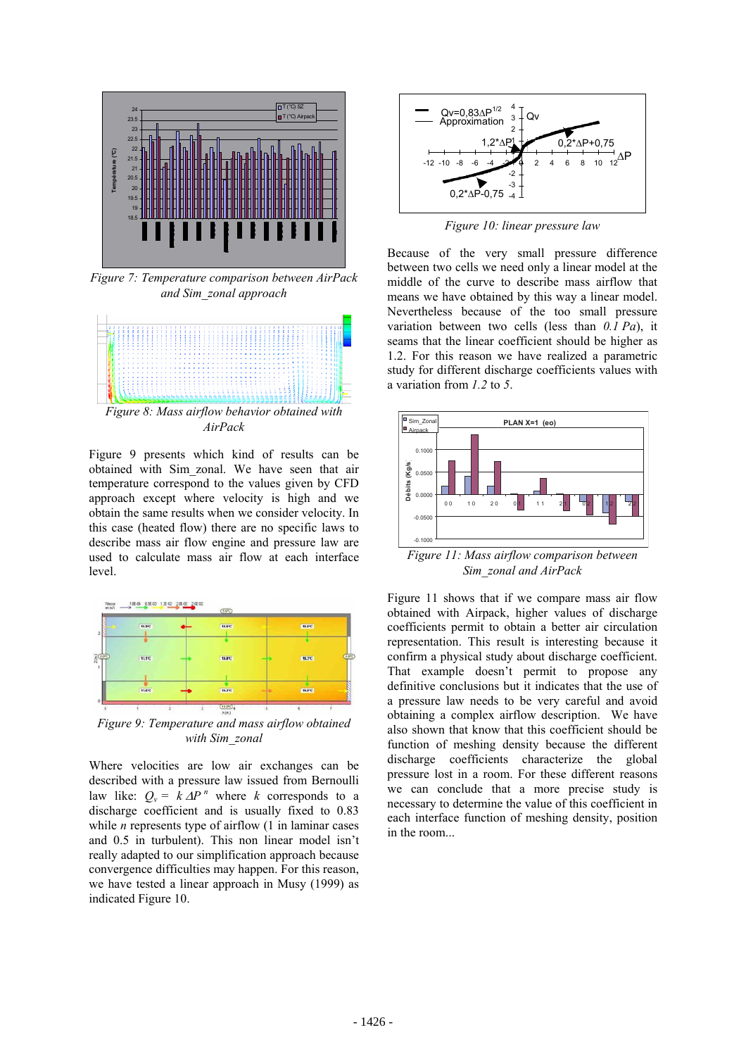

*Figure 7: Temperature comparison between AirPack and Sim\_zonal approach* 



Figure 9 presents which kind of results can be obtained with Sim\_zonal. We have seen that air temperature correspond to the values given by CFD approach except where velocity is high and we obtain the same results when we consider velocity. In this case (heated flow) there are no specific laws to describe mass air flow engine and pressure law are used to calculate mass air flow at each interface level.



*Figure 9: Temperature and mass airflow obtained with Sim\_zonal* 

Where velocities are low air exchanges can be described with a pressure law issued from Bernoulli law like:  $Q_v = k \Delta P^n$  where *k* corresponds to a discharge coefficient and is usually fixed to 0.83 while *n* represents type of airflow (1 in laminar cases and 0.5 in turbulent). This non linear model isn't really adapted to our simplification approach because convergence difficulties may happen. For this reason, we have tested a linear approach in Musy (1999) as indicated Figure 10.



*Figure 10: linear pressure law* 

Because of the very small pressure difference between two cells we need only a linear model at the middle of the curve to describe mass airflow that means we have obtained by this way a linear model. Nevertheless because of the too small pressure variation between two cells (less than *0.1 Pa*), it seams that the linear coefficient should be higher as 1.2. For this reason we have realized a parametric study for different discharge coefficients values with a variation from *1.2* to *5*.



*Figure 11: Mass airflow comparison between Sim\_zonal and AirPack* 

Figure 11 shows that if we compare mass air flow obtained with Airpack, higher values of discharge coefficients permit to obtain a better air circulation representation. This result is interesting because it confirm a physical study about discharge coefficient. That example doesn't permit to propose any definitive conclusions but it indicates that the use of a pressure law needs to be very careful and avoid obtaining a complex airflow description. We have also shown that know that this coefficient should be function of meshing density because the different discharge coefficients characterize the global pressure lost in a room. For these different reasons we can conclude that a more precise study is necessary to determine the value of this coefficient in each interface function of meshing density, position in the room...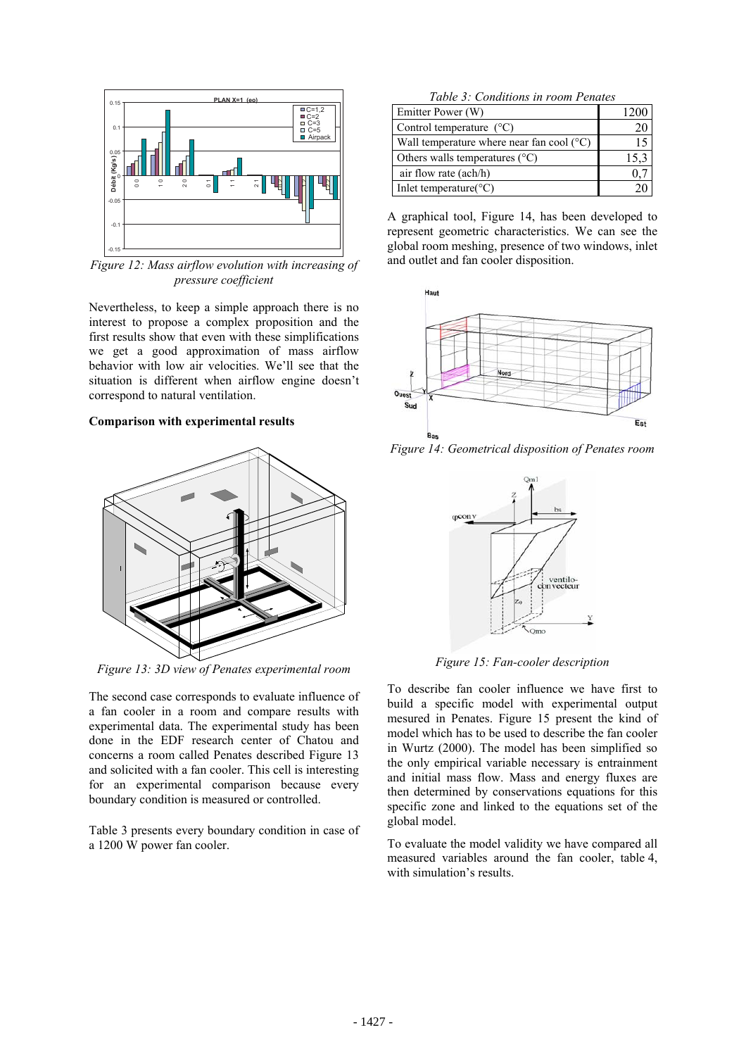

*Figure 12: Mass airflow evolution with increasing of pressure coefficient* 

Nevertheless, to keep a simple approach there is no interest to propose a complex proposition and the first results show that even with these simplifications we get a good approximation of mass airflow behavior with low air velocities. We'll see that the situation is different when airflow engine doesn't correspond to natural ventilation.

#### **Comparison with experimental results**



*Figure 13: 3D view of Penates experimental room* 

The second case corresponds to evaluate influence of a fan cooler in a room and compare results with experimental data. The experimental study has been done in the EDF research center of Chatou and concerns a room called Penates described Figure 13 and solicited with a fan cooler. This cell is interesting for an experimental comparison because every boundary condition is measured or controlled.

Table 3 presents every boundary condition in case of a 1200 W power fan cooler.

|  | Table 3: Conditions in room Penates |  |
|--|-------------------------------------|--|
|  |                                     |  |

| Emitter Power (W)                                  |      |
|----------------------------------------------------|------|
| Control temperature $(^{\circ}C)$                  |      |
| Wall temperature where near fan cool $(^{\circ}C)$ |      |
| Others walls temperatures $(^{\circ}C)$            | 15.3 |
| air flow rate (ach/h)                              |      |
| Inlet temperature $(C)$                            |      |

A graphical tool, Figure 14, has been developed to represent geometric characteristics. We can see the global room meshing, presence of two windows, inlet and outlet and fan cooler disposition.



*Figure 14: Geometrical disposition of Penates room* 



*Figure 15: Fan-cooler description* 

To describe fan cooler influence we have first to build a specific model with experimental output mesured in Penates. Figure 15 present the kind of model which has to be used to describe the fan cooler in Wurtz (2000). The model has been simplified so the only empirical variable necessary is entrainment and initial mass flow. Mass and energy fluxes are then determined by conservations equations for this specific zone and linked to the equations set of the global model.

To evaluate the model validity we have compared all measured variables around the fan cooler, table 4, with simulation's results.